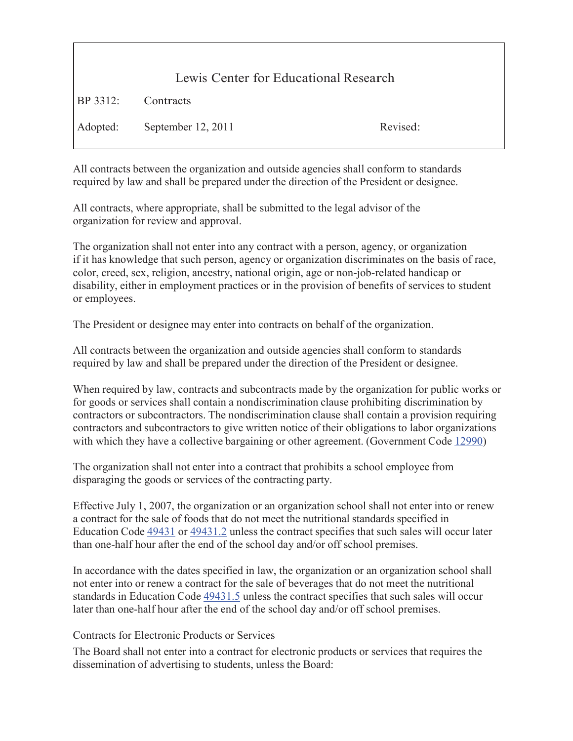| Lewis Center for Educational Research |                             |          |
|---------------------------------------|-----------------------------|----------|
| <b>BP</b> 3312:                       | Contracts                   |          |
|                                       | Adopted: September 12, 2011 | Revised: |

All contracts between the organization and outside agencies shall conform to standards required by law and shall be prepared under the direction of the President or designee.

All contracts, where appropriate, shall be submitted to the legal advisor of the organization for review and approval.

The organization shall not enter into any contract with a person, agency, or organization if it has knowledge that such person, agency or organization discriminates on the basis of race, color, creed, sex, religion, ancestry, national origin, age or non-job-related handicap or disability, either in employment practices or in the provision of benefits of services to student or employees.

The President or designee may enter into contracts on behalf of the organization.

All contracts between the organization and outside agencies shall conform to standards required by law and shall be prepared under the direction of the President or designee.

When required by law, contracts and subcontracts made by the organization for public works or for goods or services shall contain a nondiscrimination clause prohibiting discrimination by contractors or subcontractors. The nondiscrimination clause shall contain a provision requiring contractors and subcontractors to give written notice of their obligations to labor organizations with which they have a collective bargaining or other agreement. (Government Code 12990)

The organization shall not enter into a contract that prohibits a school employee from disparaging the goods or services of the contracting party.

Effective July 1, 2007, the organization or an organization school shall not enter into or renew a contract for the sale of foods that do not meet the nutritional standards specified in Education Code 49431 or 49431.2 unless the contract specifies that such sales will occur later than one-half hour after the end of the school day and/or off school premises.

In accordance with the dates specified in law, the organization or an organization school shall not enter into or renew a contract for the sale of beverages that do not meet the nutritional standards in Education Code  $\frac{49431.5}{ }$  unless the contract specifies that such sales will occur later than one-half hour after the end of the school day and/or off school premises.

## Contracts for Electronic Products or Services

The Board shall not enter into a contract for electronic products or services that requires the dissemination of advertising to students, unless the Board: